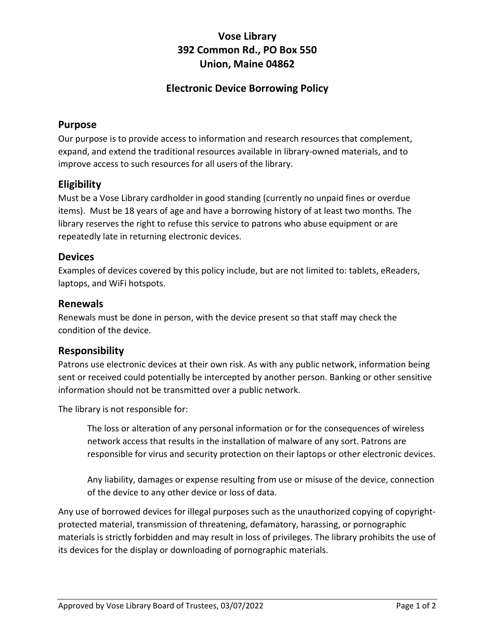# Vose Library 392 Common Rd., PO Box 550 Union, Maine 04862

## Electronic Device Borrowing Policy

#### Purpose

Our purpose is to provide access to information and research resources that complement, expand, and extend the traditional resources available in library-owned materials, and to improve access to such resources for all users of the library.

### **Eligibility**

Must be a Vose Library cardholder in good standing (currently no unpaid fines or overdue items). Must be 18 years of age and have a borrowing history of at least two months. The library reserves the right to refuse this service to patrons who abuse equipment or are repeatedly late in returning electronic devices.

### **Devices**

Examples of devices covered by this policy include, but are not limited to: tablets, eReaders, laptops, and WiFi hotspots.

#### Renewals

Renewals must be done in person, with the device present so that staff may check the condition of the device.

### Responsibility

Patrons use electronic devices at their own risk. As with any public network, information being sent or received could potentially be intercepted by another person. Banking or other sensitive information should not be transmitted over a public network.

The library is not responsible for:

The loss or alteration of any personal information or for the consequences of wireless network access that results in the installation of malware of any sort. Patrons are responsible for virus and security protection on their laptops or other electronic devices.

Any liability, damages or expense resulting from use or misuse of the device, connection of the device to any other device or loss of data.

Any use of borrowed devices for illegal purposes such as the unauthorized copying of copyrightprotected material, transmission of threatening, defamatory, harassing, or pornographic materials is strictly forbidden and may result in loss of privileges. The library prohibits the use of its devices for the display or downloading of pornographic materials.